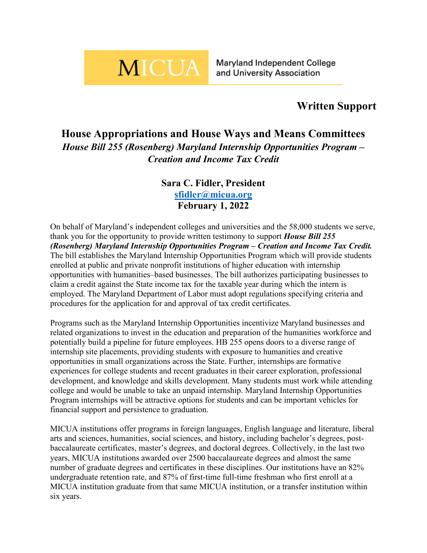## **MICUA**

Maryland Independent College and University Association

## **Written Support**

## **House Appropriations and House Ways and Means Committees** *House Bill 255 (Rosenberg) Maryland Internship Opportunities Program – Creation and Income Tax Credit*

## **Sara C. Fidler, President [sfidler@micua.org](mailto:sfidler@micua.org) February 1, 2022**

On behalf of Maryland's independent colleges and universities and the 58,000 students we serve, thank you for the opportunity to provide written testimony to support *House Bill 255 (Rosenberg) Maryland Internship Opportunities Program – Creation and Income Tax Credit.* The bill establishes the Maryland Internship Opportunities Program which will provide students enrolled at public and private nonprofit institutions of higher education with internship opportunities with humanities–based businesses. The bill authorizes participating businesses to claim a credit against the State income tax for the taxable year during which the intern is employed. The Maryland Department of Labor must adopt regulations specifying criteria and procedures for the application for and approval of tax credit certificates.

Programs such as the Maryland Internship Opportunities incentivize Maryland businesses and related organizations to invest in the education and preparation of the humanities workforce and potentially build a pipeline for future employees. HB 255 opens doors to a diverse range of internship site placements, providing students with exposure to humanities and creative opportunities in small organizations across the State. Further, internships are formative experiences for college students and recent graduates in their career exploration, professional development, and knowledge and skills development. Many students must work while attending college and would be unable to take an unpaid internship. Maryland Internship Opportunities Program internships will be attractive options for students and can be important vehicles for financial support and persistence to graduation.

MICUA institutions offer programs in foreign languages, English language and literature, liberal arts and sciences, humanities, social sciences, and history, including bachelor's degrees, postbaccalaureate certificates, master's degrees, and doctoral degrees. Collectively, in the last two years, MICUA institutions awarded over 2500 baccalaureate degrees and almost the same number of graduate degrees and certificates in these disciplines. Our institutions have an 82% undergraduate retention rate, and 87% of first-time full-time freshman who first enroll at a MICUA institution graduate from that same MICUA institution, or a transfer institution within six years.